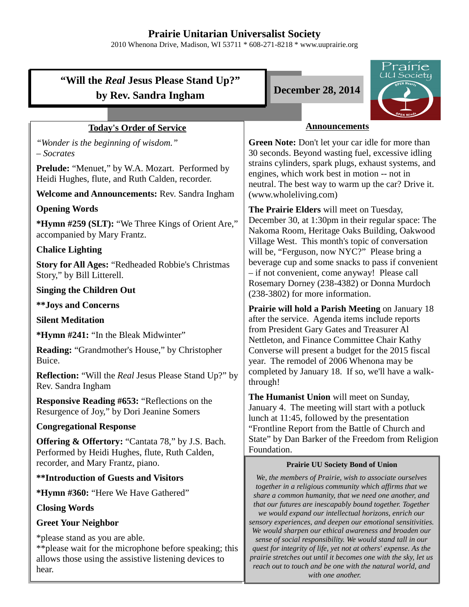# **Prairie Unitarian Universalist Society**

2010 Whenona Drive, Madison, WI 53711 \* 608-271-8218 \* www.uuprairie.org

|                                                                                                                                                    | <u>Prairie</u>                                                                                                                                                                                                                                                                                                                                                                                   |  |
|----------------------------------------------------------------------------------------------------------------------------------------------------|--------------------------------------------------------------------------------------------------------------------------------------------------------------------------------------------------------------------------------------------------------------------------------------------------------------------------------------------------------------------------------------------------|--|
| "Will the <i>Real</i> Jesus Please Stand Up?"                                                                                                      | <u>U</u> U Society<br><b>December 28, 2014</b>                                                                                                                                                                                                                                                                                                                                                   |  |
| by Rev. Sandra Ingham                                                                                                                              |                                                                                                                                                                                                                                                                                                                                                                                                  |  |
| PEN Min                                                                                                                                            |                                                                                                                                                                                                                                                                                                                                                                                                  |  |
| <b>Today's Order of Service</b>                                                                                                                    | <b>Announcements</b>                                                                                                                                                                                                                                                                                                                                                                             |  |
| "Wonder is the beginning of wisdom."<br>$-$ Socrates                                                                                               | Green Note: Don't let your car idle for more than<br>30 seconds. Beyond wasting fuel, excessive idling<br>strains cylinders, spark plugs, exhaust systems, and<br>engines, which work best in motion -- not in<br>neutral. The best way to warm up the car? Drive it.<br>(www.wholeliving.com)                                                                                                   |  |
| <b>Prelude:</b> "Menuet," by W.A. Mozart. Performed by<br>Heidi Hughes, flute, and Ruth Calden, recorder.                                          |                                                                                                                                                                                                                                                                                                                                                                                                  |  |
| <b>Welcome and Announcements: Rev. Sandra Ingham</b>                                                                                               |                                                                                                                                                                                                                                                                                                                                                                                                  |  |
| <b>Opening Words</b>                                                                                                                               | The Prairie Elders will meet on Tuesday,                                                                                                                                                                                                                                                                                                                                                         |  |
| *Hymn #259 (SLT): "We Three Kings of Orient Are,"<br>accompanied by Mary Frantz.                                                                   | December 30, at 1:30pm in their regular space: The<br>Nakoma Room, Heritage Oaks Building, Oakwood<br>Village West. This month's topic of conversation<br>will be, "Ferguson, now NYC?" Please bring a<br>beverage cup and some snacks to pass if convenient<br>- if not convenient, come anyway! Please call<br>Rosemary Dorney (238-4382) or Donna Murdoch<br>(238-3802) for more information. |  |
| <b>Chalice Lighting</b>                                                                                                                            |                                                                                                                                                                                                                                                                                                                                                                                                  |  |
| <b>Story for All Ages: "Redheaded Robbie's Christmas</b><br>Story," by Bill Litterell.                                                             |                                                                                                                                                                                                                                                                                                                                                                                                  |  |
| <b>Singing the Children Out</b>                                                                                                                    |                                                                                                                                                                                                                                                                                                                                                                                                  |  |
| <b>**Joys and Concerns</b>                                                                                                                         | <b>Prairie will hold a Parish Meeting on January 18</b>                                                                                                                                                                                                                                                                                                                                          |  |
| <b>Silent Meditation</b>                                                                                                                           | after the service. Agenda items include reports                                                                                                                                                                                                                                                                                                                                                  |  |
| *Hymn #241: "In the Bleak Midwinter"                                                                                                               | from President Gary Gates and Treasurer Al<br>Nettleton, and Finance Committee Chair Kathy                                                                                                                                                                                                                                                                                                       |  |
| <b>Reading: "Grandmother's House," by Christopher</b><br>Buice.                                                                                    | Converse will present a budget for the 2015 fiscal<br>year. The remodel of 2006 Whenona may be<br>completed by January 18. If so, we'll have a walk-<br>through!                                                                                                                                                                                                                                 |  |
| <b>Reflection:</b> "Will the <i>Real</i> Jesus Please Stand Up?" by<br>Rev. Sandra Ingham                                                          |                                                                                                                                                                                                                                                                                                                                                                                                  |  |
| <b>Responsive Reading #653: "Reflections on the</b><br>Resurgence of Joy," by Dori Jeanine Somers                                                  | The Humanist Union will meet on Sunday,<br>January 4. The meeting will start with a potluck                                                                                                                                                                                                                                                                                                      |  |
| <b>Congregational Response</b>                                                                                                                     | lunch at 11:45, followed by the presentation<br>"Frontline Report from the Battle of Church and                                                                                                                                                                                                                                                                                                  |  |
| <b>Offering &amp; Offertory:</b> "Cantata 78," by J.S. Bach.<br>Performed by Heidi Hughes, flute, Ruth Calden,                                     | State" by Dan Barker of the Freedom from Religion<br>Foundation.                                                                                                                                                                                                                                                                                                                                 |  |
| recorder, and Mary Frantz, piano.                                                                                                                  | <b>Prairie UU Society Bond of Union</b>                                                                                                                                                                                                                                                                                                                                                          |  |
| <b>**Introduction of Guests and Visitors</b>                                                                                                       | We, the members of Prairie, wish to associate ourselves<br>together in a religious community which affirms that we                                                                                                                                                                                                                                                                               |  |
| *Hymn #360: "Here We Have Gathered"                                                                                                                | share a common humanity, that we need one another, and<br>that our futures are inescapably bound together. Together                                                                                                                                                                                                                                                                              |  |
| <b>Closing Words</b>                                                                                                                               | we would expand our intellectual horizons, enrich our                                                                                                                                                                                                                                                                                                                                            |  |
| <b>Greet Your Neighbor</b>                                                                                                                         | sensory experiences, and deepen our emotional sensitivities.<br>We would sharpen our ethical awareness and broaden our<br>sense of social responsibility. We would stand tall in our<br>quest for integrity of life, yet not at others' expense. As the<br>prairie stretches out until it becomes one with the sky, let us                                                                       |  |
| *please stand as you are able.<br>** please wait for the microphone before speaking; this<br>allows those using the assistive listening devices to |                                                                                                                                                                                                                                                                                                                                                                                                  |  |

hear.

*with one another.* 

*reach out to touch and be one with the natural world, and*